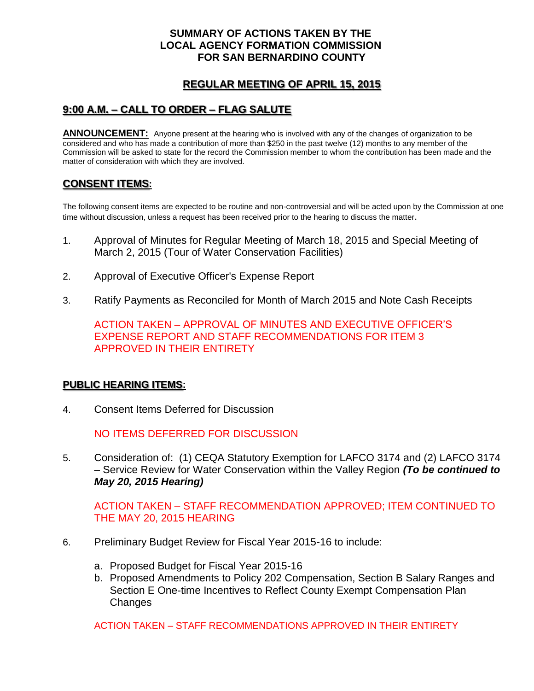### **SUMMARY OF ACTIONS TAKEN BY THE LOCAL AGENCY FORMATION COMMISSION FOR SAN BERNARDINO COUNTY**

# **REGULAR MEETING OF APRIL 15, 2015**

# **9:00 A.M. – CALL TO ORDER – FLAG SALUTE**

**ANNOUNCEMENT:** Anyone present at the hearing who is involved with any of the changes of organization to be considered and who has made a contribution of more than \$250 in the past twelve (12) months to any member of the Commission will be asked to state for the record the Commission member to whom the contribution has been made and the matter of consideration with which they are involved.

## **CONSENT ITEMS:**

The following consent items are expected to be routine and non-controversial and will be acted upon by the Commission at one time without discussion, unless a request has been received prior to the hearing to discuss the matter.

- 1. Approval of Minutes for Regular Meeting of March 18, 2015 and Special Meeting of March 2, 2015 (Tour of Water Conservation Facilities)
- 2. Approval of Executive Officer's Expense Report
- 3. Ratify Payments as Reconciled for Month of March 2015 and Note Cash Receipts

ACTION TAKEN – APPROVAL OF MINUTES AND EXECUTIVE OFFICER'S EXPENSE REPORT AND STAFF RECOMMENDATIONS FOR ITEM 3 APPROVED IN THEIR ENTIRETY

#### **PUBLIC HEARING ITEMS:**

4. Consent Items Deferred for Discussion

NO ITEMS DEFERRED FOR DISCUSSION

5. Consideration of: (1) CEQA Statutory Exemption for LAFCO 3174 and (2) LAFCO 3174 – Service Review for Water Conservation within the Valley Region *(To be continued to May 20, 2015 Hearing)*

ACTION TAKEN – STAFF RECOMMENDATION APPROVED; ITEM CONTINUED TO THE MAY 20, 2015 HEARING

- 6. Preliminary Budget Review for Fiscal Year 2015-16 to include:
	- a. Proposed Budget for Fiscal Year 2015-16
	- b. Proposed Amendments to Policy 202 Compensation, Section B Salary Ranges and Section E One-time Incentives to Reflect County Exempt Compensation Plan Changes

ACTION TAKEN – STAFF RECOMMENDATIONS APPROVED IN THEIR ENTIRETY